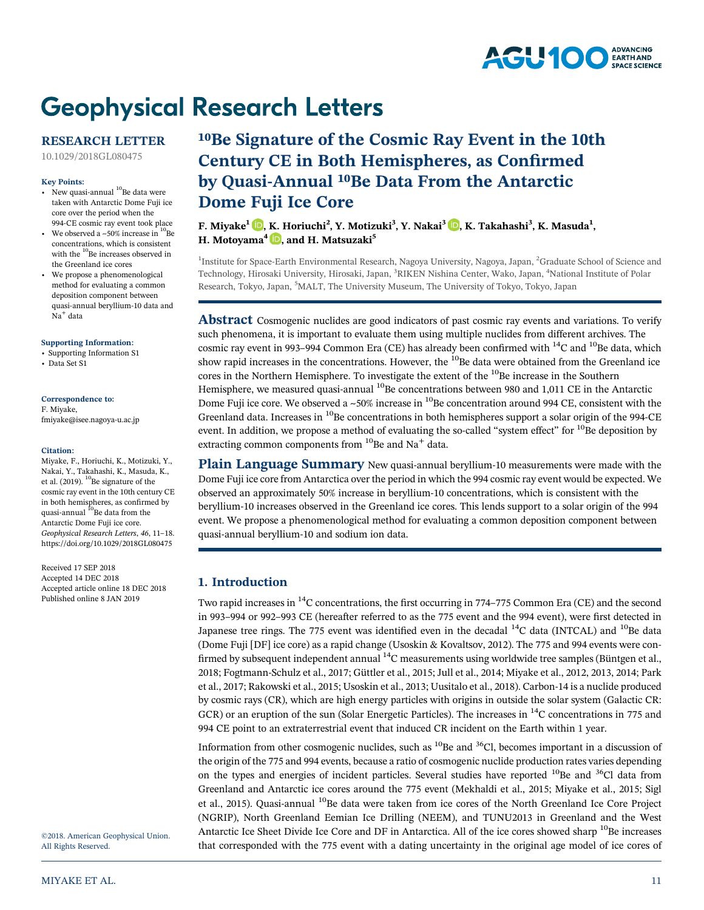

# **Geophysical Research Letters**

## RESEARCH LETTER

[10.1029/2018GL080475](http://dx.doi.org/10.1029/2018GL080475)

#### Key Points:

- New quasi-annual  $^{10}$ Be data were taken with Antarctic Dome Fuji ice core over the period when the 994-CE cosmic ray event took place
- We observed a  $\sim$  50% increase in  $^{10}$ Be concentrations, which is consistent with the  $^{10}$ Be increases observed in the Greenland ice cores
- We propose a phenomenological method for evaluating a common deposition component between quasi-annual beryllium-10 data and Na<sup>+</sup> data

[Supporting Information:](http://dx.doi.org/10.1029/2018GL080475)

- [•](http://dx.doi.org/10.1029/2018GL080475) [Supporting Information S1](http://dx.doi.org/10.1029/2018GL080475)
- [•](http://dx.doi.org/10.1029/2018GL080475) [Data Set S1](http://dx.doi.org/10.1029/2018GL080475)

## Correspondence to: F. Miyake,

[fmiyake@isee.nagoya-u.ac.jp](mailto:fmiyake@isee.nagoya-u.ac.jp)

#### Citation:

Miyake, F., Horiuchi, K., Motizuki, Y., Nakai, Y., Takahashi, K., Masuda, K., et al. (2019). <sup>10</sup>Be signature of the cosmic ray event in the 10th century CE in both hemispheres, as confirmed by quasi-annual <sup>10</sup>Be data from the Antarctic Dome Fuji ice core. Geophysical Research Letters, 46, 11–18. <https://doi.org/10.1029/2018GL080475>

Received 17 SEP 2018 Accepted 14 DEC 2018 Accepted article online 18 DEC 2018 Published online 8 JAN 2019

©2018. American Geophysical Union. All Rights Reserved.

## 10Be Signature of the Cosmic Ray Event in the 10th Century CE in Both Hemispheres, as Confirmed by Quasi-Annual 10Be Data From the Antarctic Dome Fuji Ice Core

F. Miyake<sup>1</sup> D[,](https://orcid.org/0000-0001-5015-767X) K. Horiuchi<sup>2</sup>, Y. Motizuki<sup>3</sup>, Y. Nakai<sup>3</sup> D, K. Takahashi<sup>3</sup>, K. Masuda<sup>1</sup>, H. Motoyama<sup>4</sup>  $\mathbf{D}$ [,](https://orcid.org/0000-0003-2533-320X) and H. Matsuzaki<sup>5</sup>

<sup>1</sup>Institute for Space-Earth Environmental Research, Nagoya University, Nagoya, Japan, <sup>2</sup>Graduate School of Science and Technology, Hirosaki University, Hirosaki, Japan, <sup>3</sup>RIKEN Nishina Center, Wako, Japan, <sup>4</sup>National Institute of Polar Research, Tokyo, Japan, <sup>5</sup>MALT, The University Museum, The University of Tokyo, Tokyo, Japan

Abstract Cosmogenic nuclides are good indicators of past cosmic ray events and variations. To verify such phenomena, it is important to evaluate them using multiple nuclides from different archives. The cosmic ray event in 993-994 Common Era (CE) has already been confirmed with <sup>14</sup>C and <sup>10</sup>Be data, which show rapid increases in the concentrations. However, the  $^{10}$ Be data were obtained from the Greenland ice cores in the Northern Hemisphere. To investigate the extent of the <sup>10</sup>Be increase in the Southern Hemisphere, we measured quasi-annual <sup>10</sup>Be concentrations between 980 and 1,011 CE in the Antarctic Dome Fuji ice core. We observed a  $\sim$ 50% increase in <sup>10</sup>Be concentration around 994 CE, consistent with the Greenland data. Increases in <sup>10</sup>Be concentrations in both hemispheres support a solar origin of the 994-CE event. In addition, we propose a method of evaluating the so-called "system effect" for <sup>10</sup>Be deposition by extracting common components from  $^{10}$ Be and Na<sup>+</sup> data.

Plain Language Summary New quasi-annual beryllium-10 measurements were made with the Dome Fuji ice core from Antarctica over the period in which the 994 cosmic ray event would be expected. We observed an approximately 50% increase in beryllium-10 concentrations, which is consistent with the beryllium-10 increases observed in the Greenland ice cores. This lends support to a solar origin of the 994 event. We propose a phenomenological method for evaluating a common deposition component between quasi-annual beryllium-10 and sodium ion data.

## 1. Introduction

Two rapid increases in <sup>14</sup>C concentrations, the first occurring in 774–775 Common Era (CE) and the second in 993–994 or 992–993 CE (hereafter referred to as the 775 event and the 994 event), were first detected in Japanese tree rings. The 775 event was identified even in the decadal  $^{14}$ C data (INTCAL) and  $^{10}$ Be data (Dome Fuji [DF] ice core) as a rapid change (Usoskin & Kovaltsov, 2012). The 775 and 994 events were confirmed by subsequent independent annual <sup>14</sup>C measurements using worldwide tree samples (Büntgen et al., 2018; Fogtmann-Schulz et al., 2017; Güttler et al., 2015; Jull et al., 2014; Miyake et al., 2012, 2013, 2014; Park et al., 2017; Rakowski et al., 2015; Usoskin et al., 2013; Uusitalo et al., 2018). Carbon-14 is a nuclide produced by cosmic rays (CR), which are high energy particles with origins in outside the solar system (Galactic CR: GCR) or an eruption of the sun (Solar Energetic Particles). The increases in <sup>14</sup>C concentrations in 775 and 994 CE point to an extraterrestrial event that induced CR incident on the Earth within 1 year.

Information from other cosmogenic nuclides, such as  $^{10}$ Be and  $^{36}$ Cl, becomes important in a discussion of the origin of the 775 and 994 events, because a ratio of cosmogenic nuclide production rates varies depending on the types and energies of incident particles. Several studies have reported <sup>10</sup>Be and <sup>36</sup>Cl data from Greenland and Antarctic ice cores around the 775 event (Mekhaldi et al., 2015; Miyake et al., 2015; Sigl et al., 2015). Quasi-annual <sup>10</sup>Be data were taken from ice cores of the North Greenland Ice Core Project (NGRIP), North Greenland Eemian Ice Drilling (NEEM), and TUNU2013 in Greenland and the West Antarctic Ice Sheet Divide Ice Core and DF in Antarctica. All of the ice cores showed sharp <sup>10</sup>Be increases that corresponded with the 775 event with a dating uncertainty in the original age model of ice cores of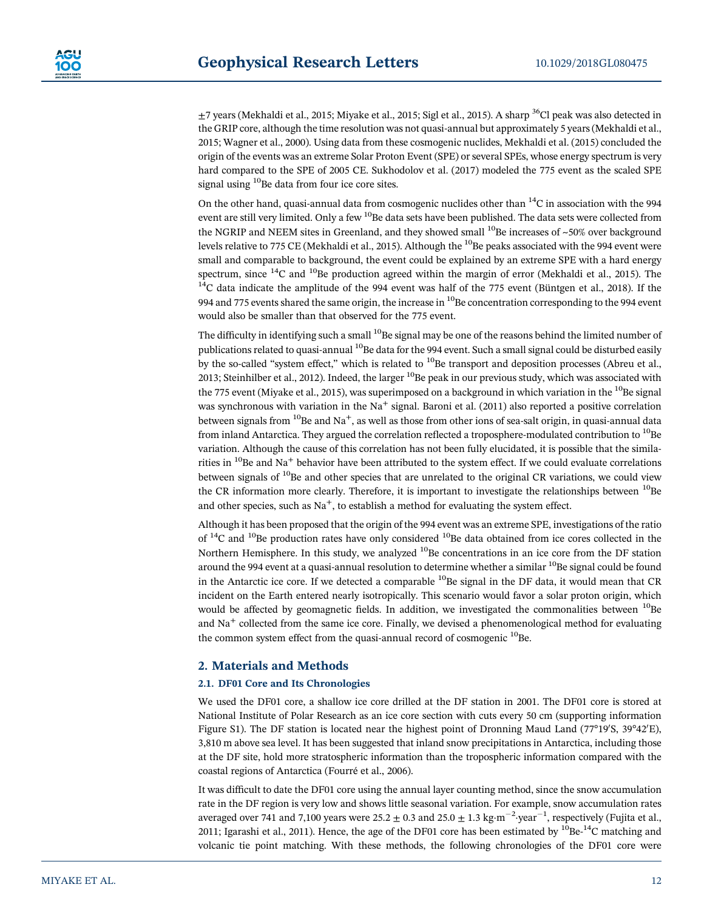$\pm$ 7 years (Mekhaldi et al., 2015; Miyake et al., 2015; Sigl et al., 2015). A sharp <sup>36</sup>Cl peak was also detected in the GRIP core, although the time resolution was not quasi-annual but approximately 5 years (Mekhaldi et al., 2015; Wagner et al., 2000). Using data from these cosmogenic nuclides, Mekhaldi et al. (2015) concluded the origin of the events was an extreme Solar Proton Event (SPE) or several SPEs, whose energy spectrum is very hard compared to the SPE of 2005 CE. Sukhodolov et al. (2017) modeled the 775 event as the scaled SPE signal using <sup>10</sup>Be data from four ice core sites.

On the other hand, quasi-annual data from cosmogenic nuclides other than  $14$ C in association with the 994 event are still very limited. Only a few <sup>10</sup>Be data sets have been published. The data sets were collected from the NGRIP and NEEM sites in Greenland, and they showed small <sup>10</sup>Be increases of ~50% over background levels relative to 775 CE (Mekhaldi et al., 2015). Although the <sup>10</sup>Be peaks associated with the 994 event were small and comparable to background, the event could be explained by an extreme SPE with a hard energy spectrum, since  $14^{\circ}$ C and  $10^{\circ}$ Be production agreed within the margin of error (Mekhaldi et al., 2015). The  $14$ <sup>T</sup>C data indicate the amplitude of the 994 event was half of the 775 event (Büntgen et al., 2018). If the 994 and 775 events shared the same origin, the increase in <sup>10</sup>Be concentration corresponding to the 994 event would also be smaller than that observed for the 775 event.

The difficulty in identifying such a small <sup>10</sup>Be signal may be one of the reasons behind the limited number of publications related to quasi-annual <sup>10</sup>Be data for the 994 event. Such a small signal could be disturbed easily by the so-called "system effect," which is related to <sup>10</sup>Be transport and deposition processes (Abreu et al., 2013; Steinhilber et al., 2012). Indeed, the larger <sup>10</sup>Be peak in our previous study, which was associated with the 775 event (Miyake et al., 2015), was superimposed on a background in which variation in the  $^{10}$ Be signal was synchronous with variation in the  $Na<sup>+</sup>$  signal. Baroni et al. (2011) also reported a positive correlation between signals from  $10B$ e and Na<sup>+</sup>, as well as those from other ions of sea-salt origin, in quasi-annual data from inland Antarctica. They argued the correlation reflected a troposphere-modulated contribution to <sup>10</sup>Be variation. Although the cause of this correlation has not been fully elucidated, it is possible that the similarities in  $^{10}$ Be and Na<sup>+</sup> behavior have been attributed to the system effect. If we could evaluate correlations between signals of  $^{10}$ Be and other species that are unrelated to the original CR variations, we could view the CR information more clearly. Therefore, it is important to investigate the relationships between  $^{10}$ Be and other species, such as  $Na<sup>+</sup>$ , to establish a method for evaluating the system effect.

Although it has been proposed that the origin of the 994 event was an extreme SPE, investigations of the ratio of  $^{14}$ C and  $^{10}$ Be production rates have only considered  $^{10}$ Be data obtained from ice cores collected in the Northern Hemisphere. In this study, we analyzed <sup>10</sup>Be concentrations in an ice core from the DF station around the 994 event at a quasi-annual resolution to determine whether a similar <sup>10</sup>Be signal could be found in the Antarctic ice core. If we detected a comparable  $^{10}$ Be signal in the DF data, it would mean that CR incident on the Earth entered nearly isotropically. This scenario would favor a solar proton origin, which would be affected by geomagnetic fields. In addition, we investigated the commonalities between  $^{10}$ Be and Na<sup>+</sup> collected from the same ice core. Finally, we devised a phenomenological method for evaluating the common system effect from the quasi-annual record of cosmogenic  $^{10}$ Be.

## 2. Materials and Methods

#### 2.1. DF01 Core and Its Chronologies

We used the DF01 core, a shallow ice core drilled at the DF station in 2001. The DF01 core is stored at National Institute of Polar Research as an ice core section with cuts every 50 cm (supporting information Figure S1). The DF station is located near the highest point of Dronning Maud Land (77°19′S, 39°42′E), 3,810 m above sea level. It has been suggested that inland snow precipitations in Antarctica, including those at the DF site, hold more stratospheric information than the tropospheric information compared with the coastal regions of Antarctica (Fourré et al., 2006).

It was difficult to date the DF01 core using the annual layer counting method, since the snow accumulation rate in the DF region is very low and shows little seasonal variation. For example, snow accumulation rates averaged over 741 and 7,100 years were 25.2  $\pm$  0.3 and 25.0  $\pm$  1.3 kg·m $^{-2}$ ·year $^{-1}$ , respectively (Fujita et al., 2011; Igarashi et al., 2011). Hence, the age of the DF01 core has been estimated by <sup>10</sup>Be-<sup>14</sup>C matching and volcanic tie point matching. With these methods, the following chronologies of the DF01 core were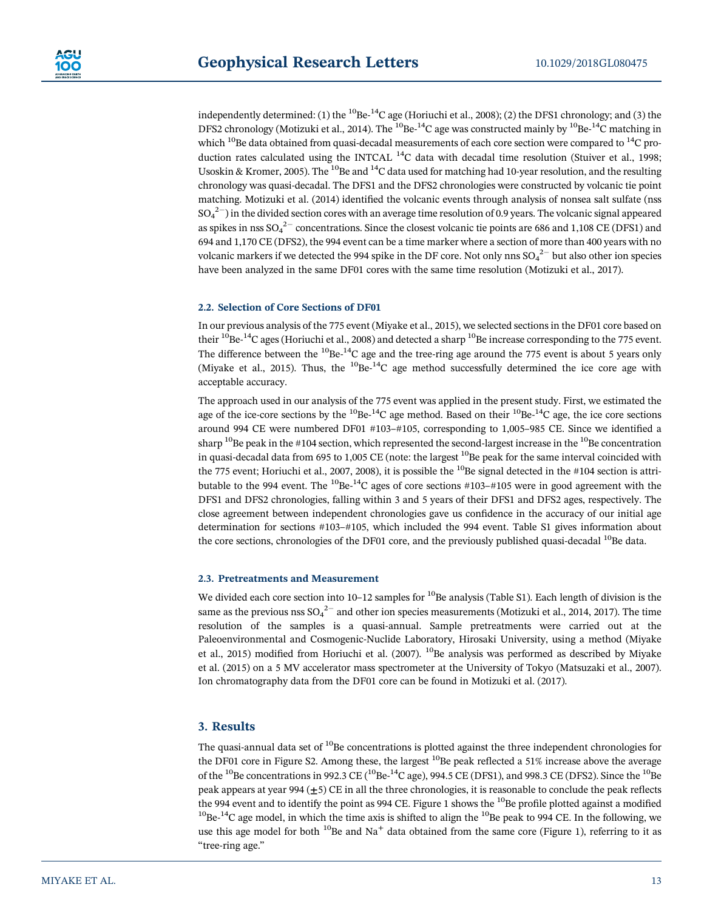independently determined: (1) the  $^{10}$ Be- $^{14}$ C age (Horiuchi et al., 2008); (2) the DFS1 chronology; and (3) the DFS2 chronology (Motizuki et al., 2014). The <sup>10</sup>Be-<sup>14</sup>C age was constructed mainly by <sup>10</sup>Be-<sup>14</sup>C matching in which  $^{10}$ Be data obtained from quasi-decadal measurements of each core section were compared to  $^{14}$ C production rates calculated using the INTCAL  $^{14}$ C data with decadal time resolution (Stuiver et al., 1998; Usoskin & Kromer, 2005). The <sup>10</sup>Be and <sup>14</sup>C data used for matching had 10-year resolution, and the resulting chronology was quasi-decadal. The DFS1 and the DFS2 chronologies were constructed by volcanic tie point matching. Motizuki et al. (2014) identified the volcanic events through analysis of nonsea salt sulfate (nss  $\mathrm{SO_4}^{2-})$  in the divided section cores with an average time resolution of 0.9 years. The volcanic signal appeared as spikes in nss SO $_4^{2-}$  concentrations. Since the closest volcanic tie points are 686 and 1,108 CE (DFS1) and 694 and 1,170 CE (DFS2), the 994 event can be a time marker where a section of more than 400 years with no volcanic markers if we detected the 994 spike in the DF core. Not only nns SO $_4^{2-}$  but also other ion species have been analyzed in the same DF01 cores with the same time resolution (Motizuki et al., 2017).

#### 2.2. Selection of Core Sections of DF01

In our previous analysis of the 775 event (Miyake et al., 2015), we selected sections in the DF01 core based on their  $^{10}$ Be- $^{14}$ C ages (Horiuchi et al., 2008) and detected a sharp  $^{10}$ Be increase corresponding to the 775 event. The difference between the  ${}^{10}$ Be- ${}^{14}$ C age and the tree-ring age around the 775 event is about 5 years only (Miyake et al., 2015). Thus, the  $^{10}$ Be- $^{14}$ C age method successfully determined the ice core age with acceptable accuracy.

The approach used in our analysis of the 775 event was applied in the present study. First, we estimated the age of the ice-core sections by the  ${}^{10}Be^{-14}C$  age method. Based on their  ${}^{10}Be^{-14}C$  age, the ice core sections around 994 CE were numbered DF01 #103–#105, corresponding to 1,005–985 CE. Since we identified a sharp  $^{10}$ Be peak in the #104 section, which represented the second-largest increase in the  $^{10}$ Be concentration in quasi-decadal data from 695 to 1,005 CE (note: the largest  $^{10}$ Be peak for the same interval coincided with the 775 event; Horiuchi et al., 2007, 2008), it is possible the  $^{10}$ Be signal detected in the #104 section is attributable to the 994 event. The  $^{10}$ Be- $^{14}$ C ages of core sections #103-#105 were in good agreement with the DFS1 and DFS2 chronologies, falling within 3 and 5 years of their DFS1 and DFS2 ages, respectively. The close agreement between independent chronologies gave us confidence in the accuracy of our initial age determination for sections #103–#105, which included the 994 event. Table S1 gives information about the core sections, chronologies of the DF01 core, and the previously published quasi-decadal <sup>10</sup>Be data.

#### 2.3. Pretreatments and Measurement

We divided each core section into  $10-12$  samples for <sup>10</sup>Be analysis (Table S1). Each length of division is the same as the previous nss SO $_4^{2-}$  and other ion species measurements (Motizuki et al., 2014, 2017). The time resolution of the samples is a quasi-annual. Sample pretreatments were carried out at the Paleoenvironmental and Cosmogenic-Nuclide Laboratory, Hirosaki University, using a method (Miyake et al., 2015) modified from Horiuchi et al. (2007). <sup>10</sup>Be analysis was performed as described by Miyake et al. (2015) on a 5 MV accelerator mass spectrometer at the University of Tokyo (Matsuzaki et al., 2007). Ion chromatography data from the DF01 core can be found in Motizuki et al. (2017).

### 3. Results

The quasi-annual data set of  $^{10}$ Be concentrations is plotted against the three independent chronologies for the DF01 core in Figure S2. Among these, the largest  $^{10}$ Be peak reflected a 51% increase above the average of the <sup>10</sup>Be concentrations in 992.3 CE (<sup>10</sup>Be-<sup>14</sup>C age), 994.5 CE (DFS1), and 998.3 CE (DFS2). Since the <sup>10</sup>Be peak appears at year 994 ( $\pm$ 5) CE in all the three chronologies, it is reasonable to conclude the peak reflects the 994 event and to identify the point as 994 CE. Figure 1 shows the  $^{10}$ Be profile plotted against a modified  $^{10}$ Be-<sup>14</sup>C age model, in which the time axis is shifted to align the  $^{10}$ Be peak to 994 CE. In the following, we use this age model for both  $^{10}$ Be and Na<sup>+</sup> data obtained from the same core (Figure 1), referring to it as "tree-ring age."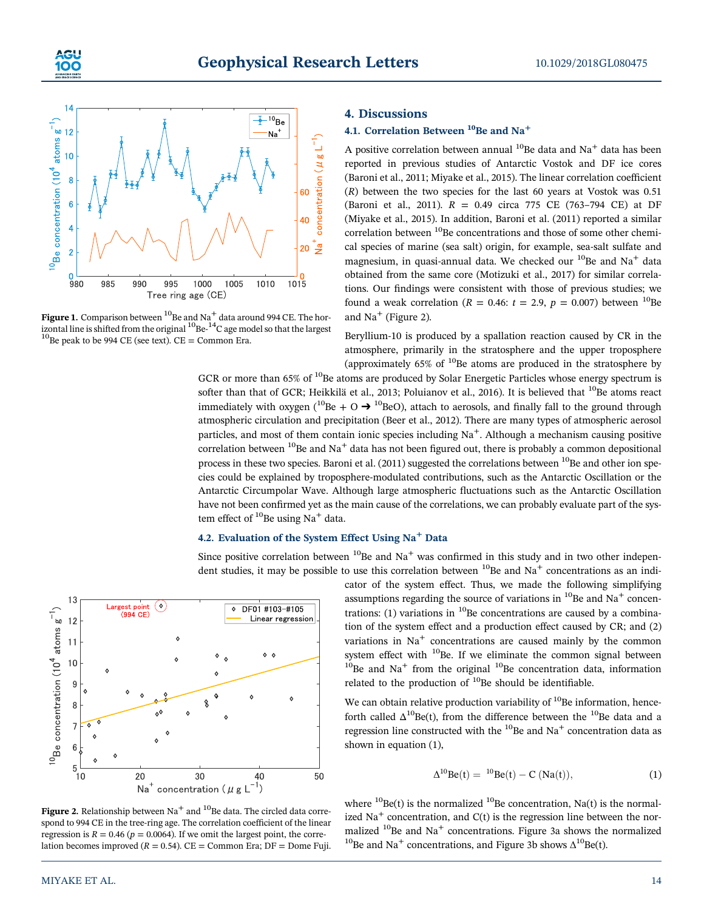



Figure 1. Comparison between  $^{10}$ Be and Na<sup>+</sup> data around 994 CE. The horizontal line is shifted from the original <sup>10</sup>Be-<sup>14</sup>C age model so that the largest <sup>10</sup>Be peak to be 994 CE (see text). CE = Common Era.

## 4. Discussions

## 4.1. Correlation Between  $^{10}$ Be and Na<sup>+</sup>

A positive correlation between annual  $^{10}$ Be data and Na<sup>+</sup> data has been reported in previous studies of Antarctic Vostok and DF ice cores (Baroni et al., 2011; Miyake et al., 2015). The linear correlation coefficient (R) between the two species for the last 60 years at Vostok was 0.51 (Baroni et al., 2011). R = 0.49 circa 775 CE (763–794 CE) at DF (Miyake et al., 2015). In addition, Baroni et al. (2011) reported a similar correlation between  $^{10}$ Be concentrations and those of some other chemical species of marine (sea salt) origin, for example, sea-salt sulfate and magnesium, in quasi-annual data. We checked our  $^{10}$ Be and Na<sup>+</sup> data obtained from the same core (Motizuki et al., 2017) for similar correlations. Our findings were consistent with those of previous studies; we found a weak correlation ( $R = 0.46$ :  $t = 2.9$ ,  $p = 0.007$ ) between <sup>10</sup>Be and  $Na<sup>+</sup>$  (Figure 2).

Beryllium-10 is produced by a spallation reaction caused by CR in the atmosphere, primarily in the stratosphere and the upper troposphere (approximately  $65\%$  of  $^{10}$ Be atoms are produced in the stratosphere by

GCR or more than 65% of <sup>10</sup>Be atoms are produced by Solar Energetic Particles whose energy spectrum is softer than that of GCR; Heikkilä et al., 2013; Poluianov et al., 2016). It is believed that <sup>10</sup>Be atoms react immediately with oxygen ( $^{10}$ Be + O  $\rightarrow$   $^{10}$ BeO), attach to aerosols, and finally fall to the ground through atmospheric circulation and precipitation (Beer et al., 2012). There are many types of atmospheric aerosol particles, and most of them contain ionic species including  $Na<sup>+</sup>$ . Although a mechanism causing positive correlation between  $^{10}$ Be and Na<sup>+</sup> data has not been figured out, there is probably a common depositional process in these two species. Baroni et al. (2011) suggested the correlations between  $^{10}$ Be and other ion species could be explained by troposphere-modulated contributions, such as the Antarctic Oscillation or the Antarctic Circumpolar Wave. Although large atmospheric fluctuations such as the Antarctic Oscillation have not been confirmed yet as the main cause of the correlations, we can probably evaluate part of the system effect of  $^{10}$ Be using Na<sup>+</sup> data.

## 4.2. Evaluation of the System Effect Using Na<sup>+</sup> Data

Since positive correlation between  $^{10}$ Be and Na<sup>+</sup> was confirmed in this study and in two other independent studies, it may be possible to use this correlation between  ${}^{10}$ Be and Na<sup>+</sup> concentrations as an indi-



**Figure 2.** Relationship between  $Na<sup>+</sup>$  and <sup>10</sup>Be data. The circled data correspond to 994 CE in the tree-ring age. The correlation coefficient of the linear regression is  $R = 0.46$  ( $p = 0.0064$ ). If we omit the largest point, the correlation becomes improved ( $R = 0.54$ ). CE = Common Era; DF = Dome Fuji.

cator of the system effect. Thus, we made the following simplifying assumptions regarding the source of variations in  $^{10}$ Be and Na<sup>+</sup> concentrations: (1) variations in  $^{10}$ Be concentrations are caused by a combination of the system effect and a production effect caused by CR; and (2) variations in  $Na<sup>+</sup>$  concentrations are caused mainly by the common system effect with <sup>10</sup>Be. If we eliminate the common signal between  $10^{10}$ Be and Na<sup>+</sup> from the original  $10^{10}$ Be concentration data, information related to the production of  $10$ Be should be identifiable.

We can obtain relative production variability of  $10B$  information, henceforth called  $\Delta^{10}$ Be(t), from the difference between the  $^{10}$ Be data and a regression line constructed with the  $^{10}$ Be and Na<sup>+</sup> concentration data as shown in equation (1),

$$
\Delta^{10} Be(t) = {}^{10}Be(t) - C (Na(t)), \tag{1}
$$

where  ${}^{10}$ Be(t) is the normalized  ${}^{10}$ Be concentration, Na(t) is the normalized  $Na<sup>+</sup>$  concentration, and  $C(t)$  is the regression line between the normalized  $^{10}$ Be and Na<sup>+</sup> concentrations. Figure 3a shows the normalized <sup>10</sup>Be and Na<sup>+</sup> concentrations, and Figure 3b shows  $\Delta^{10}$ Be(t).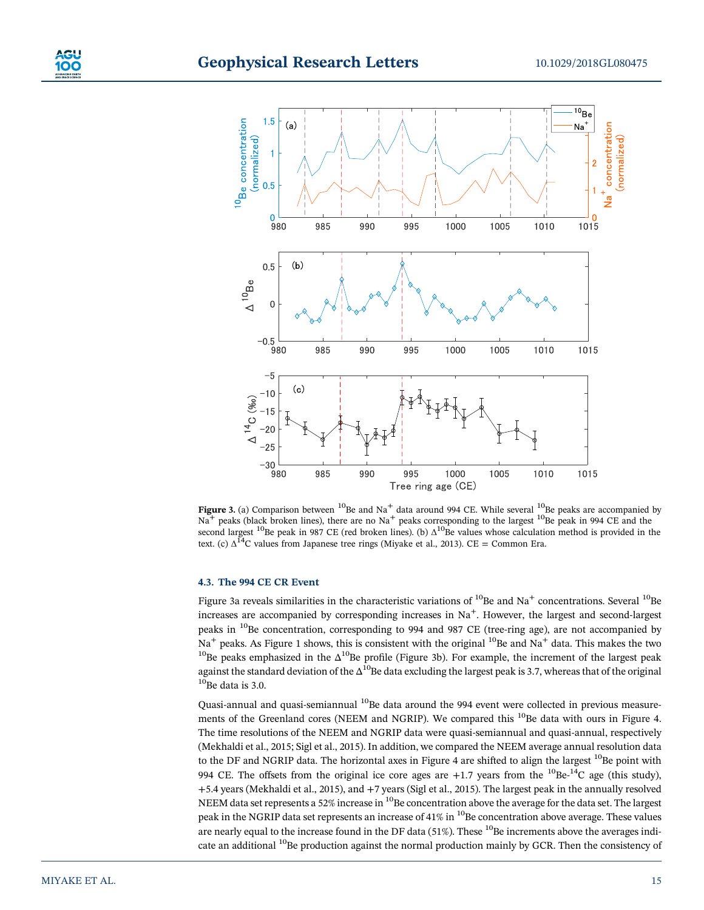



Figure 3. (a) Comparison between  $^{10}$ Be and Na $^+$  data around 994 CE. While several  $^{10}$ Be peaks are accompanied by  $Na^+$  peaks (black broken lines), there are no Na<sup>+</sup> peaks corresponding to the largest <sup>10</sup>Be peak in 994 CE and the second largest <sup>10</sup>Be peak in 987 CE (red broken lines). (b)  $\Delta^{10}$ Be values whose calculation method is provided in the text. (c)  $\Delta^{14}$ C values from Japanese tree rings (Miyake et al., 2013). CE = Common Era.

#### 4.3. The 994 CE CR Event

Figure 3a reveals similarities in the characteristic variations of  $^{10}$ Be and Na<sup>+</sup> concentrations. Several  $^{10}$ Be increases are accompanied by corresponding increases in  $Na<sup>+</sup>$ . However, the largest and second-largest peaks in <sup>10</sup>Be concentration, corresponding to 994 and 987 CE (tree-ring age), are not accompanied by Na<sup>+</sup> peaks. As Figure 1 shows, this is consistent with the original <sup>10</sup>Be and Na<sup>+</sup> data. This makes the two <sup>10</sup>Be peaks emphasized in the  $\Delta^{10}$ Be profile (Figure 3b). For example, the increment of the largest peak against the standard deviation of the  $\Delta^{10}$ Be data excluding the largest peak is 3.7, whereas that of the original  $10^{10}$ Be data is 3.0.

Quasi-annual and quasi-semiannual <sup>10</sup>Be data around the 994 event were collected in previous measurements of the Greenland cores (NEEM and NGRIP). We compared this <sup>10</sup>Be data with ours in Figure 4. The time resolutions of the NEEM and NGRIP data were quasi-semiannual and quasi-annual, respectively (Mekhaldi et al., 2015; Sigl et al., 2015). In addition, we compared the NEEM average annual resolution data to the DF and NGRIP data. The horizontal axes in Figure 4 are shifted to align the largest  $^{10}$ Be point with 994 CE. The offsets from the original ice core ages are  $+1.7$  years from the  ${}^{10}Be-{}^{14}C$  age (this study), +5.4 years (Mekhaldi et al., 2015), and +7 years (Sigl et al., 2015). The largest peak in the annually resolved NEEM data set represents a 52% increase in <sup>10</sup>Be concentration above the average for the data set. The largest peak in the NGRIP data set represents an increase of 41% in  $^{10}$ Be concentration above average. These values are nearly equal to the increase found in the DF data (51%). These <sup>10</sup>Be increments above the averages indicate an additional <sup>10</sup>Be production against the normal production mainly by GCR. Then the consistency of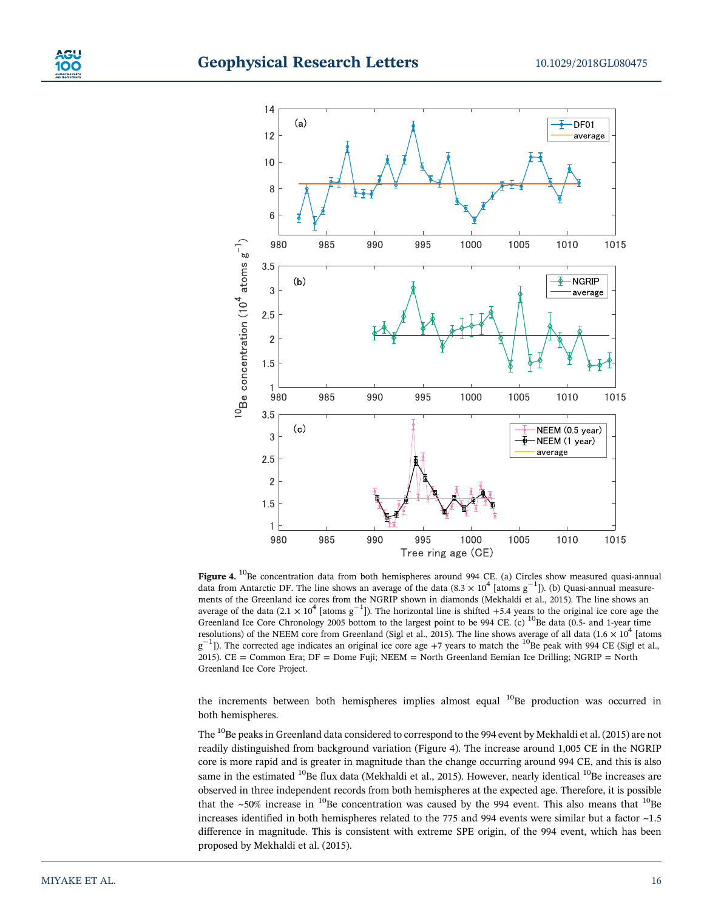

Figure 4. <sup>10</sup>Be concentration data from both hemispheres around 994 CE. (a) Circles show measured quasi-annual data from Antarctic DF. The line shows an average of the data  $(8.3 \times 10^4 \text{ [atoms g}^{-1}])$ . (b) Quasi-annual measurements of the Greenland ice cores from the NGRIP shown in diamonds (Mekhaldi et al., 2015). The line shows an average of the data (2.1  $\times$  10<sup>4</sup> [atoms g<sup>-1</sup>]). The horizontal line is shifted +5.4 years to the original ice core age the Greenland Ice Core Chronology 2005 bottom to the largest point to be 994 CE. (c) <sup>10</sup>Be data (0.5- and 1-year time resolutions) of the NEEM core from Greenland (Sigl et al., 2015). The line shows average of all data (1.6  $\times$  10<sup>4</sup> [atoms  $g^{-1}$ ]). The corrected age indicates an original ice core age +7 years to match the <sup>10</sup>Be peak with 994 CE (Sigl et al., 2015). CE = Common Era; DF = Dome Fuji; NEEM = North Greenland Eemian Ice Drilling; NGRIP = North Greenland Ice Core Project.

the increments between both hemispheres implies almost equal  $^{10}$ Be production was occurred in both hemispheres.

The <sup>10</sup>Be peaks in Greenland data considered to correspond to the 994 event by Mekhaldi et al. (2015) are not readily distinguished from background variation (Figure 4). The increase around 1,005 CE in the NGRIP core is more rapid and is greater in magnitude than the change occurring around 994 CE, and this is also same in the estimated  $^{10}$ Be flux data (Mekhaldi et al., 2015). However, nearly identical  $^{10}$ Be increases are observed in three independent records from both hemispheres at the expected age. Therefore, it is possible that the  $\sim$ 50% increase in <sup>10</sup>Be concentration was caused by the 994 event. This also means that <sup>10</sup>Be increases identified in both hemispheres related to the 775 and 994 events were similar but a factor  $\sim$ 1.5 difference in magnitude. This is consistent with extreme SPE origin, of the 994 event, which has been proposed by Mekhaldi et al. (2015).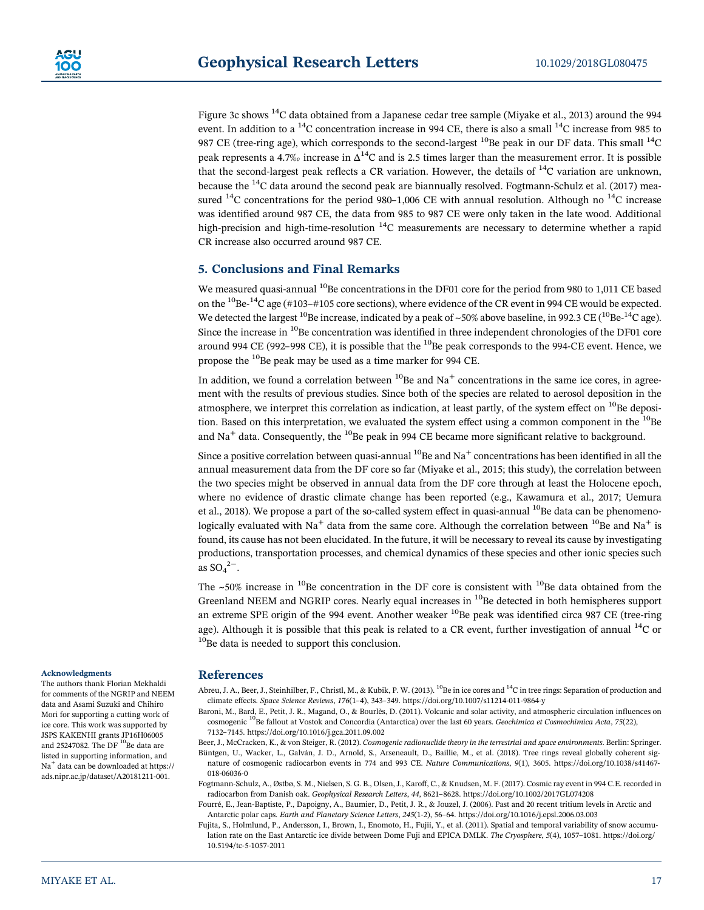Figure 3c shows 14C data obtained from a Japanese cedar tree sample (Miyake et al., 2013) around the 994 event. In addition to a <sup>14</sup>C concentration increase in 994 CE, there is also a small <sup>14</sup>C increase from 985 to 987 CE (tree-ring age), which corresponds to the second-largest <sup>10</sup>Be peak in our DF data. This small <sup>14</sup>C peak represents a 4.7‰ increase in  $\Delta^{14}C$  and is 2.5 times larger than the measurement error. It is possible that the second-largest peak reflects a CR variation. However, the details of  $^{14}C$  variation are unknown, because the 14C data around the second peak are biannually resolved. Fogtmann-Schulz et al. (2017) measured  $^{14}$ C concentrations for the period 980–1,006 CE with annual resolution. Although no  $^{14}$ C increase was identified around 987 CE, the data from 985 to 987 CE were only taken in the late wood. Additional high-precision and high-time-resolution  $14$ C measurements are necessary to determine whether a rapid CR increase also occurred around 987 CE.

## 5. Conclusions and Final Remarks

We measured quasi-annual <sup>10</sup>Be concentrations in the DF01 core for the period from 980 to 1,011 CE based on the <sup>10</sup>Be-<sup>14</sup>C age (#103–#105 core sections), where evidence of the CR event in 994 CE would be expected. We detected the largest <sup>10</sup>Be increase, indicated by a peak of ~50% above baseline, in 992.3 CE (<sup>10</sup>Be-<sup>14</sup>C age). Since the increase in  $^{10}$ Be concentration was identified in three independent chronologies of the DF01 core around 994 CE (992–998 CE), it is possible that the  $^{10}$ Be peak corresponds to the 994-CE event. Hence, we propose the <sup>10</sup>Be peak may be used as a time marker for 994 CE.

In addition, we found a correlation between  $^{10}$ Be and Na<sup>+</sup> concentrations in the same ice cores, in agreement with the results of previous studies. Since both of the species are related to aerosol deposition in the atmosphere, we interpret this correlation as indication, at least partly, of the system effect on  $^{10}$ Be deposition. Based on this interpretation, we evaluated the system effect using a common component in the  $^{10}$ Be and  $Na<sup>+</sup>$  data. Consequently, the <sup>10</sup>Be peak in 994 CE became more significant relative to background.

Since a positive correlation between quasi-annual  $^{10}$ Be and Na<sup>+</sup> concentrations has been identified in all the annual measurement data from the DF core so far (Miyake et al., 2015; this study), the correlation between the two species might be observed in annual data from the DF core through at least the Holocene epoch, where no evidence of drastic climate change has been reported (e.g., Kawamura et al., 2017; Uemura et al., 2018). We propose a part of the so-called system effect in quasi-annual  $^{10}$ Be data can be phenomenologically evaluated with Na<sup>+</sup> data from the same core. Although the correlation between <sup>10</sup>Be and Na<sup>+</sup> is found, its cause has not been elucidated. In the future, it will be necessary to reveal its cause by investigating productions, transportation processes, and chemical dynamics of these species and other ionic species such as  $SO_4^2$ <sup>-1</sup>.

The  $\sim$ 50% increase in <sup>10</sup>Be concentration in the DF core is consistent with <sup>10</sup>Be data obtained from the Greenland NEEM and NGRIP cores. Nearly equal increases in <sup>10</sup>Be detected in both hemispheres support an extreme SPE origin of the 994 event. Another weaker  $^{10}$ Be peak was identified circa 987 CE (tree-ring age). Although it is possible that this peak is related to a CR event, further investigation of annual  $^{14}$ C or <sup>10</sup>Be data is needed to support this conclusion.

#### Acknowledgments

The authors thank Florian Mekhaldi for comments of the NGRIP and NEEM data and Asami Suzuki and Chihiro Mori for supporting a cutting work of ice core. This work was supported by JSPS KAKENHI grants JP16H06005 and 25247082. The DF  $^{10}$ Be data are listed in supporting information, and Na<sup>+</sup> data can be downloaded at [https://](https://ads.nipr.ac.jp/dataset/A20181211-001) [ads.nipr.ac.jp/dataset/A20181211-001](https://ads.nipr.ac.jp/dataset/A20181211-001).

## References

Abreu, J. A., Beer, J., Steinhilber, F., Christl, M., & Kubik, P. W. (2013). <sup>10</sup>Be in ice cores and <sup>14</sup>C in tree rings: Separation of production and climate effects. Space Science Reviews, 176(1–4), 343–349.<https://doi.org/10.1007/s11214-011-9864-y>

Baroni, M., Bard, E., Petit, J. R., Magand, O., & Bourlès, D. (2011). Volcanic and solar activity, and atmospheric circulation influences on cosmogenic <sup>10</sup>Be fallout at Vostok and Concordia (Antarctica) over the last 60 years. Geochimica et Cosmochimica Acta, 75(22), 7132–7145.<https://doi.org/10.1016/j.gca.2011.09.002>

Beer, J., McCracken, K., & von Steiger, R. (2012). Cosmogenic radionuclide theory in the terrestrial and space environments. Berlin: Springer. Büntgen, U., Wacker, L., Galván, J. D., Arnold, S., Arseneault, D., Baillie, M., et al. (2018). Tree rings reveal globally coherent signature of cosmogenic radiocarbon events in 774 and 993 CE. Nature Communications, 9(1), 3605. [https://doi.org/10.1038/s41467-](https://doi.org/10.1038/s41467-018-06036-0) [018-06036-0](https://doi.org/10.1038/s41467-018-06036-0)

Fogtmann-Schulz, A., Østbø, S. M., Nielsen, S. G. B., Olsen, J., Karoff, C., & Knudsen, M. F. (2017). Cosmic ray event in 994 C.E. recorded in radiocarbon from Danish oak. Geophysical Research Letters, 44, 8621–8628.<https://doi.org/10.1002/2017GL074208>

Fourré, E., Jean-Baptiste, P., Dapoigny, A., Baumier, D., Petit, J. R., & Jouzel, J. (2006). Past and 20 recent tritium levels in Arctic and Antarctic polar caps. Earth and Planetary Science Letters, 245(1-2), 56–64.<https://doi.org/10.1016/j.epsl.2006.03.003>

Fujita, S., Holmlund, P., Andersson, I., Brown, I., Enomoto, H., Fujii, Y., et al. (2011). Spatial and temporal variability of snow accumulation rate on the East Antarctic ice divide between Dome Fuji and EPICA DMLK. The Cryosphere, 5(4), 1057–1081. [https://doi.org/](https://doi.org/10.5194/tc-5-1057-2011) [10.5194/tc-5-1057-2011](https://doi.org/10.5194/tc-5-1057-2011)